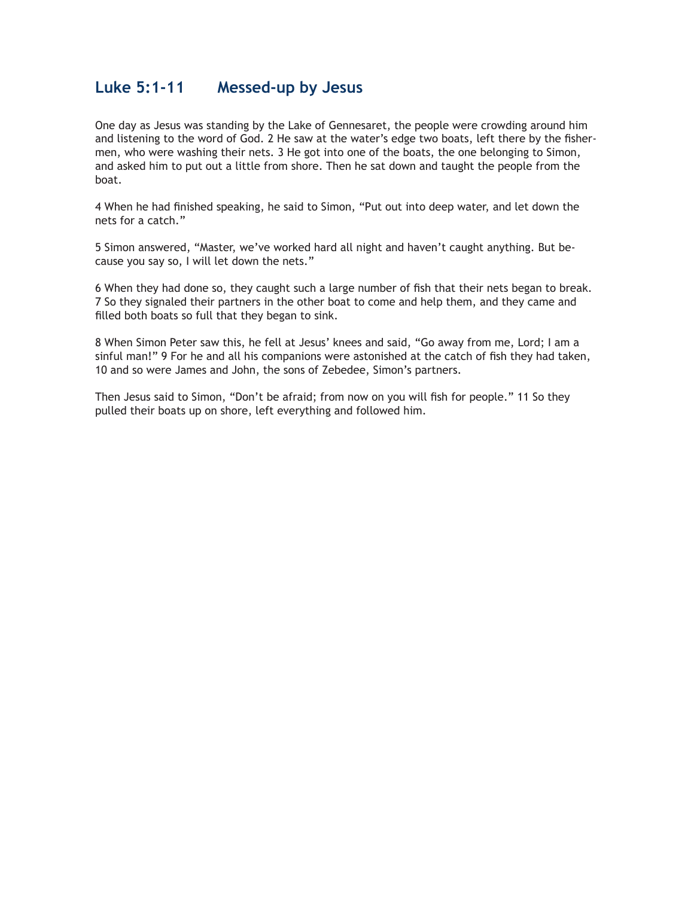#### **Luke 5:1-11 Messed-up by Jesus**

One day as Jesus was standing by the Lake of Gennesaret, the people were crowding around him and listening to the word of God. 2 He saw at the water's edge two boats, left there by the fishermen, who were washing their nets. 3 He got into one of the boats, the one belonging to Simon, and asked him to put out a little from shore. Then he sat down and taught the people from the boat.

4 When he had finished speaking, he said to Simon, "Put out into deep water, and let down the nets for a catch."

5 Simon answered, "Master, we've worked hard all night and haven't caught anything. But because you say so, I will let down the nets."

6 When they had done so, they caught such a large number of fish that their nets began to break. 7 So they signaled their partners in the other boat to come and help them, and they came and filled both boats so full that they began to sink.

8 When Simon Peter saw this, he fell at Jesus' knees and said, "Go away from me, Lord; I am a sinful man!" 9 For he and all his companions were astonished at the catch of fish they had taken, 10 and so were James and John, the sons of Zebedee, Simon's partners.

Then Jesus said to Simon, "Don't be afraid; from now on you will fish for people." 11 So they pulled their boats up on shore, left everything and followed him.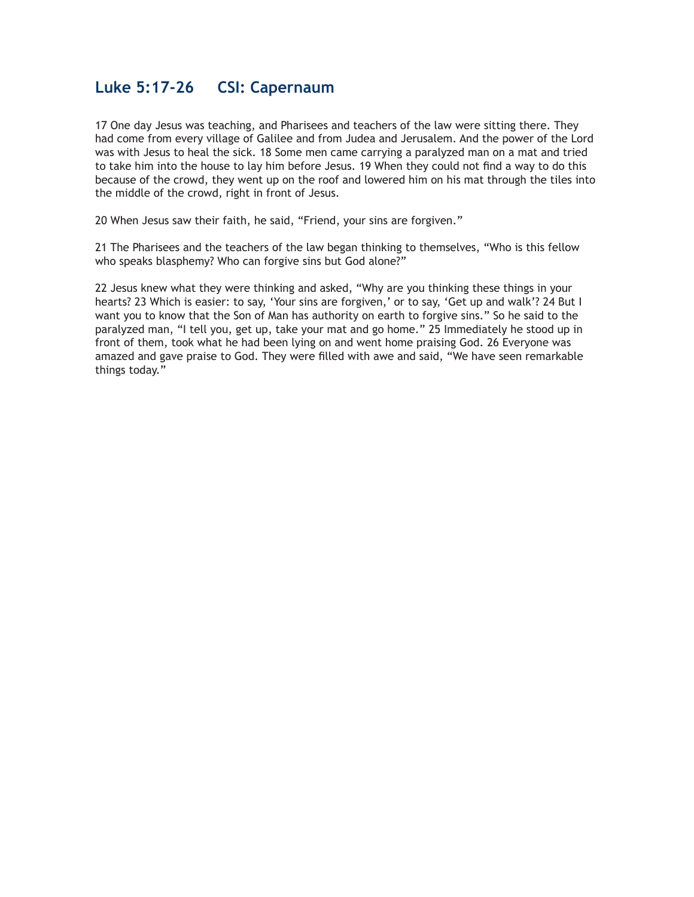## **Luke 5:17-26 CSI: Capernaum**

17 One day Jesus was teaching, and Pharisees and teachers of the law were sitting there. They had come from every village of Galilee and from Judea and Jerusalem. And the power of the Lord was with Jesus to heal the sick. 18 Some men came carrying a paralyzed man on a mat and tried to take him into the house to lay him before Jesus. 19 When they could not find a way to do this because of the crowd, they went up on the roof and lowered him on his mat through the tiles into the middle of the crowd, right in front of Jesus.

20 When Jesus saw their faith, he said, "Friend, your sins are forgiven."

21 The Pharisees and the teachers of the law began thinking to themselves, "Who is this fellow who speaks blasphemy? Who can forgive sins but God alone?"

22 Jesus knew what they were thinking and asked, "Why are you thinking these things in your hearts? 23 Which is easier: to say, 'Your sins are forgiven,' or to say, 'Get up and walk'? 24 But I want you to know that the Son of Man has authority on earth to forgive sins." So he said to the paralyzed man, "I tell you, get up, take your mat and go home." 25 Immediately he stood up in front of them, took what he had been lying on and went home praising God. 26 Everyone was amazed and gave praise to God. They were filled with awe and said, "We have seen remarkable things today."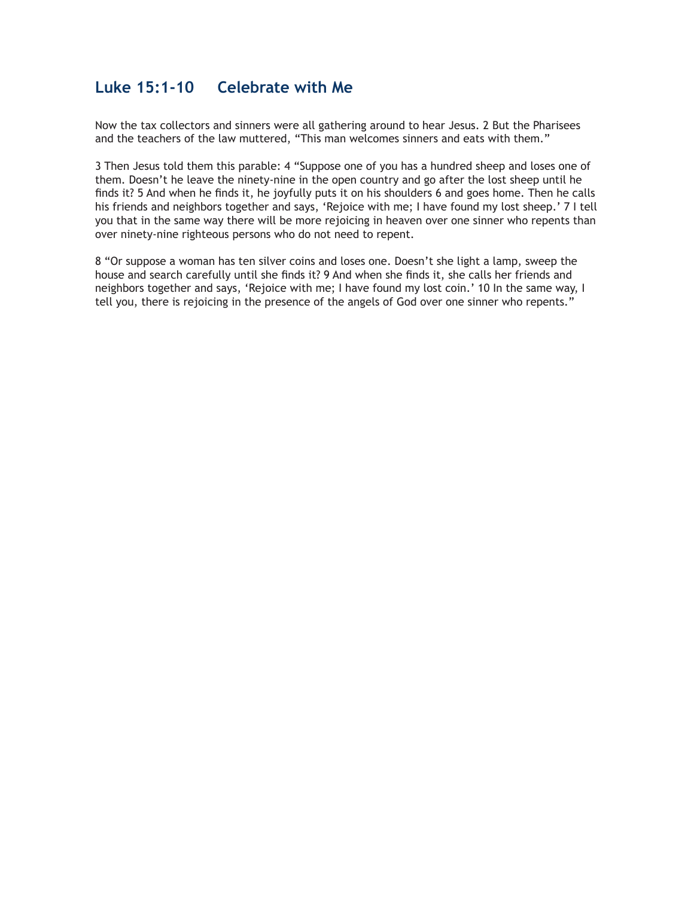### **Luke 15:1-10 Celebrate with Me**

Now the tax collectors and sinners were all gathering around to hear Jesus. 2 But the Pharisees and the teachers of the law muttered, "This man welcomes sinners and eats with them."

3 Then Jesus told them this parable: 4 "Suppose one of you has a hundred sheep and loses one of them. Doesn't he leave the ninety-nine in the open country and go after the lost sheep until he finds it? 5 And when he finds it, he joyfully puts it on his shoulders 6 and goes home. Then he calls his friends and neighbors together and says, 'Rejoice with me; I have found my lost sheep.' 7 I tell you that in the same way there will be more rejoicing in heaven over one sinner who repents than over ninety-nine righteous persons who do not need to repent.

8 "Or suppose a woman has ten silver coins and loses one. Doesn't she light a lamp, sweep the house and search carefully until she finds it? 9 And when she finds it, she calls her friends and neighbors together and says, 'Rejoice with me; I have found my lost coin.' 10 In the same way, I tell you, there is rejoicing in the presence of the angels of God over one sinner who repents."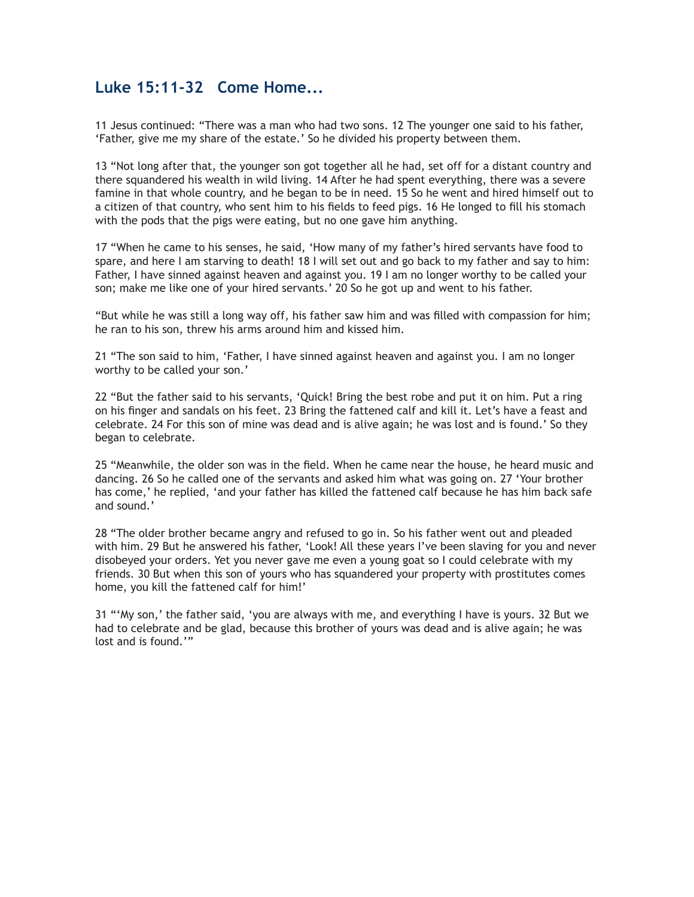## **Luke 15:11-32 Come Home...**

11 Jesus continued: "There was a man who had two sons. 12 The younger one said to his father, 'Father, give me my share of the estate.' So he divided his property between them.

13 "Not long after that, the younger son got together all he had, set off for a distant country and there squandered his wealth in wild living. 14 After he had spent everything, there was a severe famine in that whole country, and he began to be in need. 15 So he went and hired himself out to a citizen of that country, who sent him to his fields to feed pigs. 16 He longed to fill his stomach with the pods that the pigs were eating, but no one gave him anything.

17 "When he came to his senses, he said, 'How many of my father's hired servants have food to spare, and here I am starving to death! 18 I will set out and go back to my father and say to him: Father, I have sinned against heaven and against you. 19 I am no longer worthy to be called your son; make me like one of your hired servants.' 20 So he got up and went to his father.

"But while he was still a long way off, his father saw him and was filled with compassion for him; he ran to his son, threw his arms around him and kissed him.

21 "The son said to him, 'Father, I have sinned against heaven and against you. I am no longer worthy to be called your son.'

22 "But the father said to his servants, 'Quick! Bring the best robe and put it on him. Put a ring on his finger and sandals on his feet. 23 Bring the fattened calf and kill it. Let's have a feast and celebrate. 24 For this son of mine was dead and is alive again; he was lost and is found.' So they began to celebrate.

25 "Meanwhile, the older son was in the field. When he came near the house, he heard music and dancing. 26 So he called one of the servants and asked him what was going on. 27 'Your brother has come,' he replied, 'and your father has killed the fattened calf because he has him back safe and sound.'

28 "The older brother became angry and refused to go in. So his father went out and pleaded with him. 29 But he answered his father, 'Look! All these years I've been slaving for you and never disobeyed your orders. Yet you never gave me even a young goat so I could celebrate with my friends. 30 But when this son of yours who has squandered your property with prostitutes comes home, you kill the fattened calf for him!'

31 "'My son,' the father said, 'you are always with me, and everything I have is yours. 32 But we had to celebrate and be glad, because this brother of yours was dead and is alive again; he was lost and is found.'"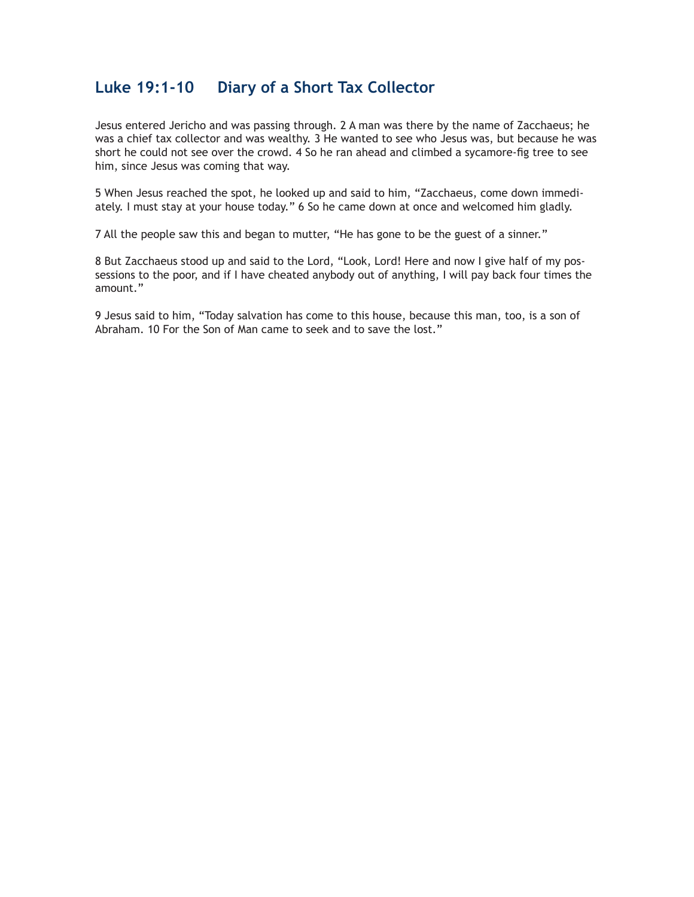### **Luke 19:1-10 Diary of a Short Tax Collector**

Jesus entered Jericho and was passing through. 2 A man was there by the name of Zacchaeus; he was a chief tax collector and was wealthy. 3 He wanted to see who Jesus was, but because he was short he could not see over the crowd. 4 So he ran ahead and climbed a sycamore-fig tree to see him, since Jesus was coming that way.

5 When Jesus reached the spot, he looked up and said to him, "Zacchaeus, come down immediately. I must stay at your house today." 6 So he came down at once and welcomed him gladly.

7 All the people saw this and began to mutter, "He has gone to be the guest of a sinner."

8 But Zacchaeus stood up and said to the Lord, "Look, Lord! Here and now I give half of my possessions to the poor, and if I have cheated anybody out of anything, I will pay back four times the amount."

9 Jesus said to him, "Today salvation has come to this house, because this man, too, is a son of Abraham. 10 For the Son of Man came to seek and to save the lost."